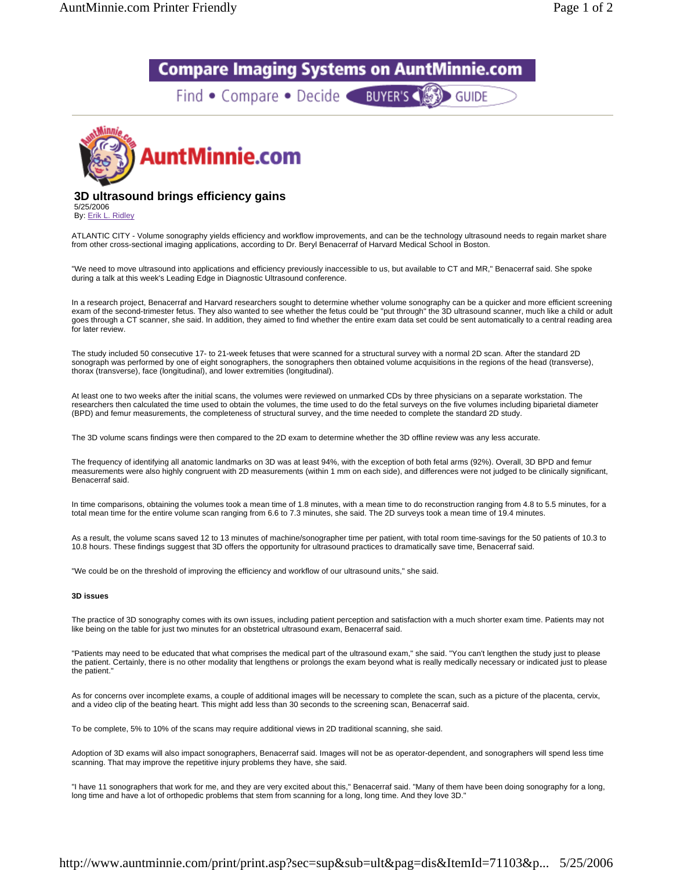## **Compare Imaging Systems on AuntMinnie.com**

Find • Compare • Decide BUYER'S (S) GUIDE



## **3D ultrasound brings efficiency gains**

5/25/2006 By: Erik L. Ridley

ATLANTIC CITY - Volume sonography yields efficiency and workflow improvements, and can be the technology ultrasound needs to regain market share from other cross-sectional imaging applications, according to Dr. Beryl Benacerraf of Harvard Medical School in Boston.

"We need to move ultrasound into applications and efficiency previously inaccessible to us, but available to CT and MR," Benacerraf said. She spoke during a talk at this week's Leading Edge in Diagnostic Ultrasound conference.

In a research project, Benacerraf and Harvard researchers sought to determine whether volume sonography can be a quicker and more efficient screening exam of the second-trimester fetus. They also wanted to see whether the fetus could be "put through" the 3D ultrasound scanner, much like a child or adult goes through a CT scanner, she said. In addition, they aimed to find whether the entire exam data set could be sent automatically to a central reading area for later review.

The study included 50 consecutive 17- to 21-week fetuses that were scanned for a structural survey with a normal 2D scan. After the standard 2D sonograph was performed by one of eight sonographers, the sonographers then obtained volume acquisitions in the regions of the head (transverse), thorax (transverse), face (longitudinal), and lower extremities (longitudinal).

At least one to two weeks after the initial scans, the volumes were reviewed on unmarked CDs by three physicians on a separate workstation. The researchers then calculated the time used to obtain the volumes, the time used to do the fetal surveys on the five volumes including biparietal diameter (BPD) and femur measurements, the completeness of structural survey, and the time needed to complete the standard 2D study.

The 3D volume scans findings were then compared to the 2D exam to determine whether the 3D offline review was any less accurate.

The frequency of identifying all anatomic landmarks on 3D was at least 94%, with the exception of both fetal arms (92%). Overall, 3D BPD and femur measurements were also highly congruent with 2D measurements (within 1 mm on each side), and differences were not judged to be clinically significant, Benacerraf said.

In time comparisons, obtaining the volumes took a mean time of 1.8 minutes, with a mean time to do reconstruction ranging from 4.8 to 5.5 minutes, for a total mean time for the entire volume scan ranging from 6.6 to 7.3 minutes, she said. The 2D surveys took a mean time of 19.4 minutes.

As a result, the volume scans saved 12 to 13 minutes of machine/sonographer time per patient, with total room time-savings for the 50 patients of 10.3 to 10.8 hours. These findings suggest that 3D offers the opportunity for ultrasound practices to dramatically save time, Benacerraf said.

"We could be on the threshold of improving the efficiency and workflow of our ultrasound units," she said.

## **3D issues**

The practice of 3D sonography comes with its own issues, including patient perception and satisfaction with a much shorter exam time. Patients may not like being on the table for just two minutes for an obstetrical ultrasound exam, Benacerraf said.

"Patients may need to be educated that what comprises the medical part of the ultrasound exam," she said. "You can't lengthen the study just to please the patient. Certainly, there is no other modality that lengthens or prolongs the exam beyond what is really medically necessary or indicated just to please the patient."

As for concerns over incomplete exams, a couple of additional images will be necessary to complete the scan, such as a picture of the placenta, cervix, and a video clip of the beating heart. This might add less than 30 seconds to the screening scan, Benacerraf said.

To be complete, 5% to 10% of the scans may require additional views in 2D traditional scanning, she said.

Adoption of 3D exams will also impact sonographers, Benacerraf said. Images will not be as operator-dependent, and sonographers will spend less time scanning. That may improve the repetitive injury problems they have, she said.

"I have 11 sonographers that work for me, and they are very excited about this," Benacerraf said. "Many of them have been doing sonography for a long, long time and have a lot of orthopedic problems that stem from scanning for a long, long time. And they love 3D."